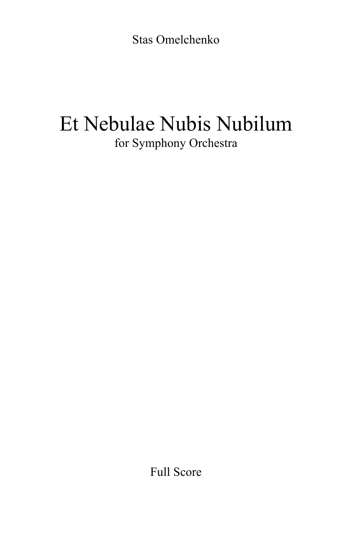**Stas Omelchenko** 

# Et Nebulae Nubis Nubilum for Symphony Orchestra

## **Full Score**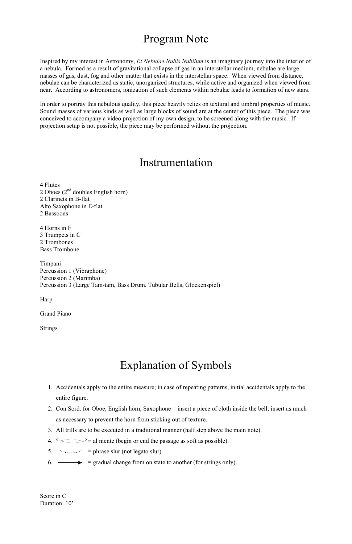### Program Note

Inspired by my interest in Astronomy, *Et Nebulae Nubis Nubilum* is an imaginary journey into the interior of a nebula. Formed as a result of gravitational collapse of gas in an interstellar medium, nebulae are large masses of gas, dust, fog and other matter that exists in the interstellar space. When viewed from distance, nebulae can be characterized as static, unorganized structures, while active and organized when viewed from near. According to astronomers, ionization of such elements within nebulae leads to formation of new stars.

- 1. Accidentals apply to the entire measure; in case of repeating patterns, initial accidentals apply to the entire figure.
- 
- 2. Con Sord. for Oboe, English horn, Saxophone = insert a piece of cloth inside the bell; insert as much as necessary to prevent the horn from sticking out of texture.
- 3. All trills are to be executed in a traditional manner (half step above the main note).
- 4.  $\degree \text{~}$  = al niente (begin or end the passage as soft as possible).
- 5.  $\frac{1}{2}$  = phrase slur (not legato slur).
- $6. \longrightarrow$  = gradual change from on state to another (for strings only).

In order to portray this nebulous quality, this piece heavily relies on textural and timbral properties of music. Sound masses of various kinds as well as large blocks of sound are at the center of this piece. The piece was conceived to accompany a video projection of my own design, to be screened along with the music. If projection setup is not possible, the piece may be performed without the projection.

#### Instrumentation

4 Flutes 2 Oboes  $(2<sup>nd</sup>$  doubles English horn) 2 Clarinets in B-flat Alto Saxophone in E-flat 2 Bassoons

4 Horns in F 3 Trumpets in C 2 Trombones Bass Trombone

Timpani Percussion 1 (Vibraphone) Percussion 2 (Marimba) Percussion 3 (Large Tam-tam, Bass Drum, Tubular Bells, Glockenspiel)

Harp

Grand Piano

Strings

# Explanation of Symbols

Score in C Duration: 10'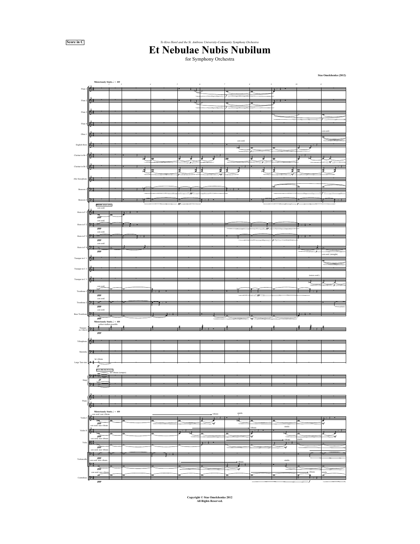#### *To Kira Horel and the St. Ambrose University-Community Symphony Orchestra* **Et Nebulae Nubis Nubilum**

for Symphony Orchestra

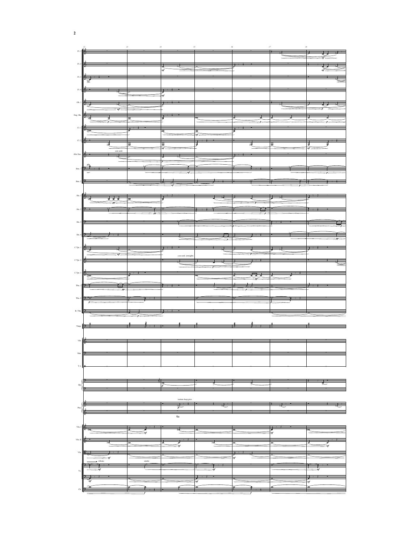| FL 1 <b>医</b>                                                                                      |                          |                          |        |                            |                      |                                             |         |                         | Ħ             |                                                                                                                                                                                                                                                                                                                                                            |
|----------------------------------------------------------------------------------------------------|--------------------------|--------------------------|--------|----------------------------|----------------------|---------------------------------------------|---------|-------------------------|---------------|------------------------------------------------------------------------------------------------------------------------------------------------------------------------------------------------------------------------------------------------------------------------------------------------------------------------------------------------------------|
|                                                                                                    |                          |                          |        |                            |                      |                                             |         |                         |               | ਹੁਤਾ<br>F                                                                                                                                                                                                                                                                                                                                                  |
| $\rm{FL}$ 2                                                                                        |                          |                          |        |                            |                      |                                             |         |                         |               |                                                                                                                                                                                                                                                                                                                                                            |
|                                                                                                    |                          |                          |        |                            | 烎<br>र्न<br>बर्      | 長                                           |         |                         |               | 큫                                                                                                                                                                                                                                                                                                                                                          |
|                                                                                                    |                          |                          |        |                            |                      |                                             |         |                         |               |                                                                                                                                                                                                                                                                                                                                                            |
|                                                                                                    | F                        |                          |        |                            |                      |                                             |         |                         |               |                                                                                                                                                                                                                                                                                                                                                            |
|                                                                                                    |                          |                          |        |                            |                      |                                             |         |                         |               |                                                                                                                                                                                                                                                                                                                                                            |
|                                                                                                    |                          |                          |        |                            |                      |                                             |         |                         |               |                                                                                                                                                                                                                                                                                                                                                            |
|                                                                                                    |                          |                          |        |                            | щf                   |                                             |         |                         |               |                                                                                                                                                                                                                                                                                                                                                            |
|                                                                                                    |                          |                          |        |                            |                      |                                             |         |                         |               |                                                                                                                                                                                                                                                                                                                                                            |
|                                                                                                    |                          |                          |        |                            |                      |                                             |         |                         |               | ਹ                                                                                                                                                                                                                                                                                                                                                          |
|                                                                                                    |                          |                          |        |                            |                      |                                             |         |                         |               |                                                                                                                                                                                                                                                                                                                                                            |
|                                                                                                    | 叏                        |                          |        |                            | J                    |                                             |         | ₹                       |               |                                                                                                                                                                                                                                                                                                                                                            |
|                                                                                                    |                          |                          |        |                            |                      |                                             |         |                         |               | $\cdot$ p:                                                                                                                                                                                                                                                                                                                                                 |
|                                                                                                    |                          |                          |        |                            |                      |                                             |         |                         |               |                                                                                                                                                                                                                                                                                                                                                            |
|                                                                                                    | මා                       |                          |        |                            |                      | 灵                                           |         |                         |               |                                                                                                                                                                                                                                                                                                                                                            |
|                                                                                                    |                          |                          |        |                            |                      |                                             |         |                         |               |                                                                                                                                                                                                                                                                                                                                                            |
|                                                                                                    |                          |                          |        |                            | 灵                    | ţ                                           |         | 寻                       |               | Ţ<br>屢                                                                                                                                                                                                                                                                                                                                                     |
|                                                                                                    |                          | $\,$ con sord.           |        |                            | щf                   |                                             |         |                         |               |                                                                                                                                                                                                                                                                                                                                                            |
|                                                                                                    |                          |                          |        |                            |                      |                                             | Ŧ       |                         |               |                                                                                                                                                                                                                                                                                                                                                            |
|                                                                                                    |                          |                          |        |                            |                      |                                             |         |                         |               |                                                                                                                                                                                                                                                                                                                                                            |
|                                                                                                    | Ļ                        |                          |        |                            |                      |                                             |         |                         |               |                                                                                                                                                                                                                                                                                                                                                            |
|                                                                                                    |                          |                          |        |                            |                      |                                             |         |                         |               |                                                                                                                                                                                                                                                                                                                                                            |
|                                                                                                    |                          |                          |        |                            |                      |                                             |         |                         |               |                                                                                                                                                                                                                                                                                                                                                            |
| <del>₽</del>                                                                                       |                          |                          |        |                            | $\equiv$             | ا د لو                                      |         |                         | ヰ             | $\sum_{i=1}^n \frac{1}{i} \sum_{j=1}^n \frac{1}{j} \sum_{j=1}^n \frac{1}{j} \sum_{j=1}^n \frac{1}{j} \sum_{j=1}^n \frac{1}{j} \sum_{j=1}^n \frac{1}{j} \sum_{j=1}^n \frac{1}{j} \sum_{j=1}^n \frac{1}{j} \sum_{j=1}^n \frac{1}{j} \sum_{j=1}^n \frac{1}{j} \sum_{j=1}^n \frac{1}{j} \sum_{j=1}^n \frac{1}{j} \sum_{j=1}^n \frac{1}{j} \sum_{j=1}^n \frac{$ |
|                                                                                                    |                          |                          |        |                            |                      |                                             |         |                         |               |                                                                                                                                                                                                                                                                                                                                                            |
|                                                                                                    |                          |                          |        |                            |                      |                                             |         |                         |               |                                                                                                                                                                                                                                                                                                                                                            |
|                                                                                                    |                          | $\frac{1}{\sqrt{2}}$     |        |                            | ţ                    |                                             | 一、 リ    |                         | ₱             | ₹                                                                                                                                                                                                                                                                                                                                                          |
|                                                                                                    |                          |                          |        |                            |                      |                                             |         |                         |               |                                                                                                                                                                                                                                                                                                                                                            |
|                                                                                                    |                          |                          |        |                            |                      | $\rightarrow$ $+$<br>₩                      |         | ⊏                       |               |                                                                                                                                                                                                                                                                                                                                                            |
|                                                                                                    |                          |                          |        | $=$ $pp =$                 |                      |                                             |         | $=$ $p$                 |               |                                                                                                                                                                                                                                                                                                                                                            |
|                                                                                                    |                          |                          |        |                            |                      |                                             |         |                         |               |                                                                                                                                                                                                                                                                                                                                                            |
|                                                                                                    |                          |                          |        |                            |                      |                                             |         |                         |               |                                                                                                                                                                                                                                                                                                                                                            |
|                                                                                                    |                          |                          |        |                            |                      |                                             |         |                         |               |                                                                                                                                                                                                                                                                                                                                                            |
|                                                                                                    |                          | $\overline{\phantom{a}}$ |        |                            |                      |                                             | 天天      |                         |               |                                                                                                                                                                                                                                                                                                                                                            |
|                                                                                                    |                          |                          |        |                            |                      |                                             |         |                         |               |                                                                                                                                                                                                                                                                                                                                                            |
|                                                                                                    |                          |                          |        |                            |                      |                                             |         |                         |               |                                                                                                                                                                                                                                                                                                                                                            |
|                                                                                                    |                          | $\pi f$                  |        |                            |                      |                                             |         |                         |               |                                                                                                                                                                                                                                                                                                                                                            |
|                                                                                                    |                          |                          |        |                            | con sord. (straight) |                                             |         |                         |               |                                                                                                                                                                                                                                                                                                                                                            |
|                                                                                                    |                          |                          |        |                            |                      | ₹                                           | ₹       |                         |               |                                                                                                                                                                                                                                                                                                                                                            |
|                                                                                                    |                          |                          |        |                            |                      |                                             |         |                         |               |                                                                                                                                                                                                                                                                                                                                                            |
|                                                                                                    | 医                        |                          |        |                            |                      |                                             |         | $\frac{1}{\frac{1}{2}}$ |               |                                                                                                                                                                                                                                                                                                                                                            |
|                                                                                                    |                          |                          |        |                            |                      |                                             |         |                         |               |                                                                                                                                                                                                                                                                                                                                                            |
|                                                                                                    |                          |                          |        |                            |                      |                                             | z       | $\frac{1}{p}$           |               |                                                                                                                                                                                                                                                                                                                                                            |
| 2⊐                                                                                                 |                          |                          |        |                            |                      |                                             |         |                         |               |                                                                                                                                                                                                                                                                                                                                                            |
|                                                                                                    |                          | $=$ $pp$                 |        |                            |                      |                                             |         |                         |               |                                                                                                                                                                                                                                                                                                                                                            |
|                                                                                                    |                          |                          |        |                            |                      |                                             |         |                         |               |                                                                                                                                                                                                                                                                                                                                                            |
|                                                                                                    |                          |                          |        |                            |                      |                                             |         |                         |               |                                                                                                                                                                                                                                                                                                                                                            |
|                                                                                                    |                          |                          |        |                            |                      |                                             |         |                         |               |                                                                                                                                                                                                                                                                                                                                                            |
|                                                                                                    |                          |                          | Ų<br>≢ |                            | ≢Σ                   |                                             |         |                         |               |                                                                                                                                                                                                                                                                                                                                                            |
|                                                                                                    |                          |                          |        |                            |                      |                                             |         |                         |               |                                                                                                                                                                                                                                                                                                                                                            |
| p i                                                                                                |                          |                          | 辈      |                            |                      | ᆑ                                           | ≠       | J                       | É             | 看                                                                                                                                                                                                                                                                                                                                                          |
|                                                                                                    |                          |                          |        |                            |                      |                                             |         |                         |               |                                                                                                                                                                                                                                                                                                                                                            |
|                                                                                                    |                          |                          |        |                            |                      |                                             |         |                         |               |                                                                                                                                                                                                                                                                                                                                                            |
|                                                                                                    |                          |                          |        |                            |                      |                                             |         |                         |               |                                                                                                                                                                                                                                                                                                                                                            |
| 唪                                                                                                  |                          |                          |        |                            |                      |                                             |         |                         |               |                                                                                                                                                                                                                                                                                                                                                            |
| <del>≆</del>                                                                                       |                          |                          |        |                            |                      |                                             |         |                         |               |                                                                                                                                                                                                                                                                                                                                                            |
|                                                                                                    |                          |                          |        |                            |                      |                                             |         |                         |               |                                                                                                                                                                                                                                                                                                                                                            |
|                                                                                                    |                          |                          |        |                            |                      |                                             |         |                         |               |                                                                                                                                                                                                                                                                                                                                                            |
|                                                                                                    |                          |                          |        |                            |                      |                                             |         |                         |               |                                                                                                                                                                                                                                                                                                                                                            |
|                                                                                                    |                          |                          |        |                            |                      |                                             |         |                         |               |                                                                                                                                                                                                                                                                                                                                                            |
|                                                                                                    |                          |                          |        |                            | $\sim$               |                                             |         |                         |               |                                                                                                                                                                                                                                                                                                                                                            |
|                                                                                                    |                          |                          |        |                            | 雰                    | र्                                          |         | ₹                       |               |                                                                                                                                                                                                                                                                                                                                                            |
| Tbn. $1$<br>Tbn. $2$<br>B. Thu.<br>Timp.<br>$_{\rm Vib.}$<br>$_{\rm{Mat}}$<br>$_{\rm T-t.}$<br>Hp. |                          |                          |        |                            |                      |                                             |         |                         |               |                                                                                                                                                                                                                                                                                                                                                            |
|                                                                                                    |                          |                          |        |                            |                      |                                             |         |                         |               |                                                                                                                                                                                                                                                                                                                                                            |
|                                                                                                    |                          |                          |        |                            | imitate harp pizz.   |                                             |         |                         | ≖             |                                                                                                                                                                                                                                                                                                                                                            |
|                                                                                                    |                          |                          |        |                            | $\sum_{p}$           | $\overline{\phantom{a}}$                    |         |                         | 吏             |                                                                                                                                                                                                                                                                                                                                                            |
|                                                                                                    |                          |                          |        |                            |                      |                                             |         |                         |               |                                                                                                                                                                                                                                                                                                                                                            |
|                                                                                                    |                          |                          |        |                            | $\mathfrak{B}a$      |                                             |         |                         |               |                                                                                                                                                                                                                                                                                                                                                            |
|                                                                                                    |                          |                          |        |                            |                      |                                             |         |                         |               |                                                                                                                                                                                                                                                                                                                                                            |
|                                                                                                    |                          |                          |        |                            |                      |                                             |         |                         | $\sim$ 1<br>₱ |                                                                                                                                                                                                                                                                                                                                                            |
|                                                                                                    |                          |                          |        |                            |                      |                                             |         |                         | $\pi$         |                                                                                                                                                                                                                                                                                                                                                            |
|                                                                                                    |                          |                          |        |                            |                      | ≢                                           |         |                         |               |                                                                                                                                                                                                                                                                                                                                                            |
|                                                                                                    |                          |                          |        |                            | ₹<br>₹               |                                             |         |                         |               |                                                                                                                                                                                                                                                                                                                                                            |
|                                                                                                    |                          | ∃                        |        |                            |                      |                                             |         | ⋣                       |               |                                                                                                                                                                                                                                                                                                                                                            |
| $V\!$ In $\,$ I<br>$\mathbf{V}\text{ln.}~\mathbf{H}$<br>$_{\rm Vla}$<br>医头                         |                          |                          |        |                            | ᠊ᢦ                   | ≖                                           | ¥<br>щf |                         |               | ᠊ᢦ                                                                                                                                                                                                                                                                                                                                                         |
|                                                                                                    | $\mathcal{M}$<br>vibrato |                          |        | $\mathop{\mathsf{simile}}$ |                      |                                             |         |                         |               |                                                                                                                                                                                                                                                                                                                                                            |
|                                                                                                    |                          |                          |        |                            |                      |                                             |         |                         |               | ों                                                                                                                                                                                                                                                                                                                                                         |
|                                                                                                    | $=$<br>mf                |                          |        |                            |                      | $\frac{1}{\sqrt{1-\frac{1}{n}}}\frac{1}{n}$ |         |                         |               | mf                                                                                                                                                                                                                                                                                                                                                         |
|                                                                                                    |                          |                          |        |                            |                      | $\overline{\phantom{a}}$                    |         |                         |               | $\overline{\phantom{0}}$                                                                                                                                                                                                                                                                                                                                   |
|                                                                                                    | mf                       |                          |        |                            |                      | щf                                          |         |                         |               | † र<br>$\rightarrow$<br>₹<br>$\equiv_{\it nf}$<br>mf                                                                                                                                                                                                                                                                                                       |

 $\overline{\phantom{a}}$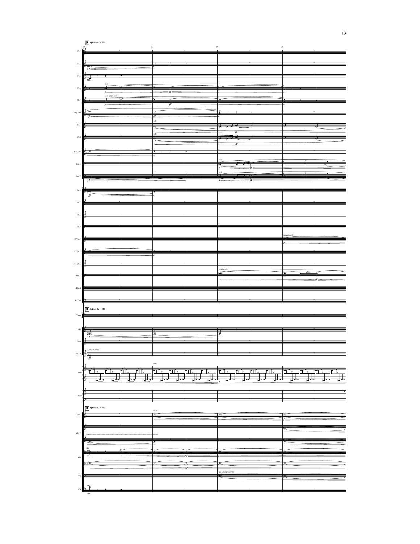| 四膦                                                                                                                              | $\sqrt{67}$       | $\delta\!S$                   | $\mathcal{O}$                 |
|---------------------------------------------------------------------------------------------------------------------------------|-------------------|-------------------------------|-------------------------------|
|                                                                                                                                 |                   |                               |                               |
|                                                                                                                                 | ₹                 |                               |                               |
| F1.2                                                                                                                            |                   |                               |                               |
| ∲ न                                                                                                                             |                   |                               |                               |
| soli                                                                                                                            |                   |                               |                               |
| 孟<br>∓                                                                                                                          |                   |                               |                               |
| P<br>soli, senza sord.                                                                                                          |                   |                               |                               |
| Ŧ<br>₹<br>$\boldsymbol{p}$                                                                                                      |                   |                               |                               |
|                                                                                                                                 |                   |                               |                               |
| ta,<br>$\boldsymbol{f}$                                                                                                         | ff:               |                               |                               |
|                                                                                                                                 | soli              |                               |                               |
| ř.                                                                                                                              |                   | <del>, , , ,</del> ,          |                               |
|                                                                                                                                 | $rac{1}{\sinh x}$ |                               |                               |
|                                                                                                                                 |                   | $\Box$                        |                               |
|                                                                                                                                 |                   |                               |                               |
|                                                                                                                                 |                   |                               |                               |
|                                                                                                                                 |                   |                               |                               |
|                                                                                                                                 |                   | $\overline{\phantom{a}}$<br>p |                               |
|                                                                                                                                 |                   | soli                          |                               |
| 2 a<br>$\overline{\overline{\phantom{m}}\hspace{-0.5mm}} f$                                                                     |                   | - 77<br>₹                     |                               |
|                                                                                                                                 |                   |                               |                               |
| lé.                                                                                                                             |                   |                               |                               |
| $\leq$ $f\!f$                                                                                                                   |                   |                               |                               |
|                                                                                                                                 |                   |                               |                               |
|                                                                                                                                 |                   |                               |                               |
|                                                                                                                                 |                   |                               |                               |
|                                                                                                                                 |                   |                               |                               |
|                                                                                                                                 |                   |                               |                               |
|                                                                                                                                 |                   |                               | senza sord.                   |
|                                                                                                                                 |                   |                               |                               |
|                                                                                                                                 |                   |                               |                               |
|                                                                                                                                 |                   |                               |                               |
|                                                                                                                                 |                   |                               |                               |
|                                                                                                                                 |                   |                               |                               |
|                                                                                                                                 |                   | (senza sord.)                 | alis                          |
|                                                                                                                                 |                   |                               |                               |
|                                                                                                                                 |                   |                               | ff                            |
|                                                                                                                                 |                   |                               |                               |
|                                                                                                                                 |                   |                               |                               |
|                                                                                                                                 |                   |                               |                               |
|                                                                                                                                 |                   |                               |                               |
| $\boxed{\textbf{D}}$ Agitated $J$ = 120<br>₽                                                                                    |                   |                               |                               |
|                                                                                                                                 |                   |                               |                               |
| 棒                                                                                                                               |                   |                               |                               |
|                                                                                                                                 | ţ                 | ₹                             |                               |
|                                                                                                                                 |                   |                               |                               |
|                                                                                                                                 |                   |                               |                               |
|                                                                                                                                 |                   |                               |                               |
|                                                                                                                                 |                   |                               |                               |
|                                                                                                                                 | sim               |                               |                               |
| ۴ſ<br>۴ſ                                                                                                                        | ᄄ                 | ٢ſ                            |                               |
|                                                                                                                                 |                   |                               |                               |
| ≢<br>J<br>ł                                                                                                                     | 妻<br>글.<br>⋥<br>큗 | 妻<br>Ħ<br>큗<br>귱              | $\overline{\phantom{a}}$<br>큟 |
| 震<br>${\hbox{\sf Tubular}}$ Bells<br>≂<br>Ĭf                                                                                    |                   |                               |                               |
|                                                                                                                                 |                   |                               | 글                             |
|                                                                                                                                 |                   |                               |                               |
|                                                                                                                                 | unis              |                               |                               |
|                                                                                                                                 | न्द               | $\overline{\phantom{a}}$      | hm.                           |
|                                                                                                                                 |                   |                               |                               |
|                                                                                                                                 |                   |                               | ₩                             |
|                                                                                                                                 |                   |                               |                               |
|                                                                                                                                 | ┱                 |                               | ᢛ                             |
|                                                                                                                                 |                   |                               |                               |
| $\overline{\mathbf{D}}$ Agitated $\overline{\mathbf{J}}=120$<br>ᇰ<br>$\equiv$<br>$\langle \mathbf{b} \rangle$<br>$\blacksquare$ |                   |                               |                               |
| 轉                                                                                                                               |                   |                               |                               |
|                                                                                                                                 | ⇉                 |                               |                               |
| 勝容                                                                                                                              |                   | unis. (senza sord.)           |                               |
|                                                                                                                                 |                   |                               |                               |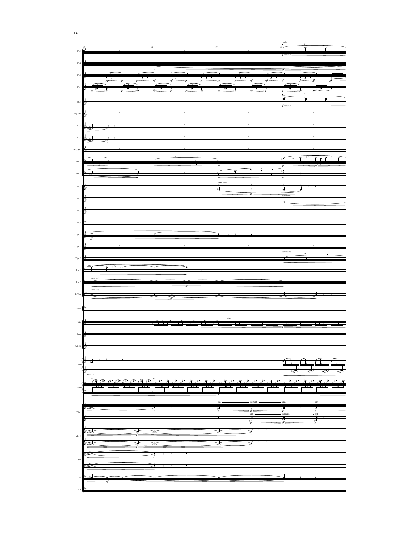|                                                                       |                                                                                  |                                         | ۱ę                                                                                  |
|-----------------------------------------------------------------------|----------------------------------------------------------------------------------|-----------------------------------------|-------------------------------------------------------------------------------------|
| $\rm{FL}$ 1                                                           |                                                                                  |                                         |                                                                                     |
|                                                                       |                                                                                  |                                         |                                                                                     |
| FL2                                                                   |                                                                                  |                                         |                                                                                     |
|                                                                       |                                                                                  |                                         |                                                                                     |
| FL3                                                                   |                                                                                  |                                         |                                                                                     |
|                                                                       | mf:<br>$\boldsymbol{p}$                                                          | $\mathbf{f}$<br>щf.<br>pp               | $\equiv_{\mathscr{I}}$<br>$\check{\mathcal{J}}$                                     |
| FL 4                                                                  |                                                                                  | -                                       |                                                                                     |
| $\frac{1}{p}$ $\frac{1}{p}$ $\frac{1}{p}$ $\frac{1}{p}$ $\frac{1}{p}$ | $\sqrt{1-\frac{1}{2}}$<br>$\frac{1}{\sqrt{1-\frac{1}{2}}}$                       | $\frac{1}{\sqrt{1-\frac{1}{2}}}$        | $\frac{1}{r}$ $\frac{1}{r}$ $\frac{1}{r}$ $\frac{1}{r}$ $\frac{1}{r}$ $\frac{1}{r}$ |
|                                                                       |                                                                                  |                                         | iolo<br>F                                                                           |
| Ob. $\boldsymbol{1}$                                                  |                                                                                  |                                         | $\frac{1}{2}$                                                                       |
|                                                                       |                                                                                  |                                         |                                                                                     |
|                                                                       |                                                                                  |                                         |                                                                                     |
| Eng. Hn.                                                              |                                                                                  |                                         |                                                                                     |
|                                                                       |                                                                                  |                                         |                                                                                     |
| CL1                                                                   |                                                                                  |                                         |                                                                                     |
|                                                                       |                                                                                  |                                         |                                                                                     |
| $\rm{Cl}.2$<br>$\bullet$                                              |                                                                                  |                                         |                                                                                     |
|                                                                       |                                                                                  |                                         |                                                                                     |
| Alto Sax.                                                             |                                                                                  |                                         |                                                                                     |
|                                                                       |                                                                                  |                                         |                                                                                     |
|                                                                       |                                                                                  |                                         | ≛<br>$f \cdot f$<br>羊<br>£                                                          |
| Bsn.1<br>$\frac{9}{2}$                                                |                                                                                  | Ŧ<br>pp                                 |                                                                                     |
|                                                                       |                                                                                  |                                         |                                                                                     |
| Bsn.<br>亟                                                             |                                                                                  |                                         |                                                                                     |
|                                                                       |                                                                                  | $_{PP}$                                 | $=$ $p$                                                                             |
|                                                                       |                                                                                  | senza sord.                             |                                                                                     |
| Hn.                                                                   |                                                                                  |                                         | 叚                                                                                   |
|                                                                       |                                                                                  | $\cdot$ ff                              |                                                                                     |
| Hn.2                                                                  |                                                                                  |                                         |                                                                                     |
|                                                                       |                                                                                  |                                         |                                                                                     |
| Hn.3                                                                  |                                                                                  |                                         |                                                                                     |
|                                                                       |                                                                                  |                                         |                                                                                     |
| Hn. $4$                                                               |                                                                                  |                                         |                                                                                     |
|                                                                       |                                                                                  |                                         |                                                                                     |
|                                                                       |                                                                                  |                                         |                                                                                     |
| $C$ Tpt. 1<br>$\frac{1}{f}$                                           |                                                                                  |                                         |                                                                                     |
|                                                                       |                                                                                  |                                         |                                                                                     |
| $C$ Tpt. 2                                                            |                                                                                  |                                         |                                                                                     |
|                                                                       |                                                                                  |                                         |                                                                                     |
|                                                                       |                                                                                  |                                         |                                                                                     |
|                                                                       |                                                                                  |                                         |                                                                                     |
| $\rm C$ Tpt. 3                                                        |                                                                                  |                                         |                                                                                     |
| gliss.                                                                |                                                                                  |                                         |                                                                                     |
| Tbn. $1$                                                              |                                                                                  |                                         |                                                                                     |
| senza sord                                                            |                                                                                  |                                         |                                                                                     |
| Tbn. $2$                                                              |                                                                                  |                                         |                                                                                     |
|                                                                       |                                                                                  |                                         |                                                                                     |
| senza sord.<br>B. Tbn.                                                |                                                                                  |                                         |                                                                                     |
|                                                                       |                                                                                  |                                         |                                                                                     |
|                                                                       |                                                                                  |                                         |                                                                                     |
| Timp.                                                                 |                                                                                  |                                         |                                                                                     |
|                                                                       |                                                                                  |                                         |                                                                                     |
|                                                                       |                                                                                  |                                         |                                                                                     |
| Vib.                                                                  |                                                                                  | $\overline{\phantom{0}}$                | ▆                                                                                   |
|                                                                       |                                                                                  |                                         |                                                                                     |
| Mar                                                                   |                                                                                  |                                         |                                                                                     |
|                                                                       |                                                                                  |                                         |                                                                                     |
| Tub. B.                                                               |                                                                                  |                                         |                                                                                     |
|                                                                       |                                                                                  |                                         |                                                                                     |
|                                                                       |                                                                                  |                                         |                                                                                     |
| 글<br>Hp.                                                              |                                                                                  |                                         | L                                                                                   |
|                                                                       |                                                                                  |                                         | ◫                                                                                   |
|                                                                       |                                                                                  |                                         | Ţ<br>IJ<br>妻                                                                        |
| ord                                                                   | sim.                                                                             |                                         |                                                                                     |
| ₩<br><u>AA A.A A</u><br>Á<br>$\overline{P}$                           | <br>$\overline{\mathbf{r}}$<br>₹<br>Ť<br>$\overline{\phantom{a}}$<br>쀠<br>粁<br>ť | ŦÍ<br>¥Í.<br>H<br>T<br>ギ<br>Ť<br>Ŧ<br>羊 | ŦÍ<br>Ŧ<br>当<br>Ť<br>当                                                              |
| Pac                                                                   |                                                                                  |                                         |                                                                                     |
|                                                                       |                                                                                  |                                         |                                                                                     |
|                                                                       |                                                                                  | ord<br>sul pon                          | ord<br>sim                                                                          |
| ¢<br>G<br>s                                                           |                                                                                  |                                         | ₹<br>Ŧ<br>Ŧ                                                                         |
| $_{\rm Vln}$                                                          |                                                                                  | J<br>ff                                 | ।<br>इ<br>$\boldsymbol{p}$<br>p                                                     |
|                                                                       |                                                                                  | ord.                                    | , ord.<br>sul pont                                                                  |
|                                                                       |                                                                                  | 글<br>$\boldsymbol{p}$                   | J<br>f<br>$\cdot$ $\boldsymbol{p}$                                                  |
|                                                                       |                                                                                  |                                         |                                                                                     |
| ⋚€<br>بارسي الأ                                                       | $\Rightarrow$                                                                    | ⋚<br>∍<br>=                             |                                                                                     |
| $\mathbf{V}\mathbf{ln}.$ I                                            |                                                                                  |                                         |                                                                                     |
| œ.                                                                    | $=$                                                                              | V<br>₩                                  |                                                                                     |
| ₹<br>:f                                                               |                                                                                  |                                         |                                                                                     |
| <b>Regis</b>                                                          |                                                                                  |                                         |                                                                                     |
| $_{\rm Vla}$                                                          |                                                                                  |                                         |                                                                                     |
|                                                                       |                                                                                  |                                         |                                                                                     |
| 装置                                                                    |                                                                                  |                                         |                                                                                     |
|                                                                       |                                                                                  |                                         |                                                                                     |
| $_{\rm Vc}$                                                           |                                                                                  |                                         |                                                                                     |
| step<br>$_{\rm Ch.}$                                                  |                                                                                  |                                         | 嬰<br>Á                                                                              |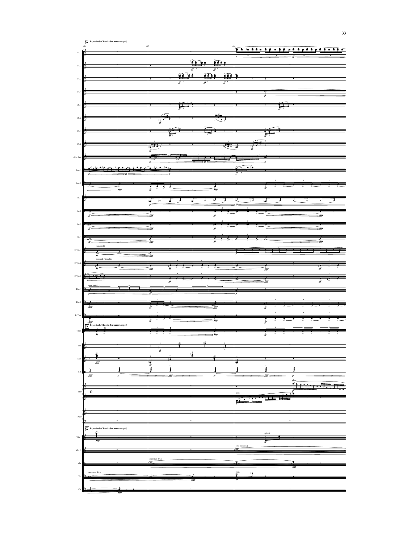| P<br><u>î t</u><br>$\frac{\prod_{j=1}^{n}f_{j}}{f}$<br>$\bar{\bar{x}}$<br>住<br>千里<br>企<br>隼<br>$\overline{f^{f}}$<br>$\overline{r}$<br>$\overline{y}$<br>$\frac{1}{f}$<br>$\frac{1}{\frac{1}{r}}$<br>╼<br>$\overline{f}$<br>Ì.<br>₸<br>$\tilde{t}$<br>ᢖ<br>$\frac{1}{\hat{y}}$<br>$\frac{1}{f}$<br>₹<br>$\frac{1}{\frac{1}{2}}$<br>र्<br>ΠĦ<br>₹<br>급<br>₹<br>灵尸<br>$\frac{1}{\hat{y}}$<br>m<br>ĨŒ<br>$\pmb{\mathcal{B}}$<br>$\frac{1}{m}$<br>$\frac{1}{\hat{y}}$<br>$\equiv$ iw<br>ff<br>$\frac{1}{f}$<br>$f\!f$<br>.fttf<br>$=$ itti<br>$\left(\text{con }\text{sord.}\right)$<br>$\frac{1}{\ell \ell \ell}$<br>$\int_{\text{con sort. (straight)}}$<br>$\frac{1}{x}$<br>弓が<br>$\frac{1}{\hbar}$<br>$\frac{1}{f}$<br>$\frac{1}{f}$<br>큦<br>$\frac{1}{f}$<br>ģ<br>m<br>Ĭf<br>$\frac{1}{\hat{y}}$<br>i<br>m<br>すみ<br>$\frac{1}{2}$<br>B. Thu, $\mathbf{E}$<br>Ŧ<br>$\overline{f}$<br>$\frac{1}{f}$<br>₹<br>$\begin{array}{c c}\n\hline\n\end{array}\n\qquad\n\begin{array}{c}\n\hline\n\end{array}\n\qquad\n\begin{array}{c}\n\hline\n\end{array}\n\text{.} \label{eq:2.1} \begin{array}{c}\n\hline\n\end{array}\n\text{.} \label{eq:2.1} \begin{array}{c}\n\hline\n\end{array}\n\text{.} \label{eq:2.1} \begin{array}{c}\n\hline\n\end{array}\n\text{.} \label{eq:2.1}$<br>m<br>$\frac{1}{2}$<br>$\frac{1}{f}$<br>Í<br>讏<br>$\frac{1}{\tilde{g}}$<br>逵<br>塗<br>ffff<br>反逆<br>Ì<br>ŧ<br>ŧ<br>T.-t. <b>  ++</b><br>$t\!t\!t\!f$<br>ffff<br>₩<br>gliss<br>Ŧ<br>开<br>⇁<br>$\ddot{\Phi}$<br>gliss.<br>أنلنانيتين<br>萛<br>$\overline{\mathbf{G}}$ Explosively Chaotic (but same tempo!)<br>室<br>(pizz.)<br>匿<br>$\frac{1}{\theta}$<br>ffff<br>arco (non div.)<br>蹫<br>arco (non div.)<br>尝<br>m<br>pizz.<br>arco (non div.)<br>ř<br>$\tau_{\rm ex}$<br>Z<br>$-$<br>$\pmb{\mathcal{B}}$ | $\boxed{\textbf{G}}$ Explosively Chaotic (but same tempo!<br>$_{\rm I26}$ | $\it 127$ |  |
|-----------------------------------------------------------------------------------------------------------------------------------------------------------------------------------------------------------------------------------------------------------------------------------------------------------------------------------------------------------------------------------------------------------------------------------------------------------------------------------------------------------------------------------------------------------------------------------------------------------------------------------------------------------------------------------------------------------------------------------------------------------------------------------------------------------------------------------------------------------------------------------------------------------------------------------------------------------------------------------------------------------------------------------------------------------------------------------------------------------------------------------------------------------------------------------------------------------------------------------------------------------------------------------------------------------------------------------------------------------------------------------------------------------------------------------------------------------------------------------------------------------------------------------------------------------------------------------------------------------------------------------------------------------------------------------------------------------------------------------------------------------------------------------|---------------------------------------------------------------------------|-----------|--|
|                                                                                                                                                                                                                                                                                                                                                                                                                                                                                                                                                                                                                                                                                                                                                                                                                                                                                                                                                                                                                                                                                                                                                                                                                                                                                                                                                                                                                                                                                                                                                                                                                                                                                                                                                                                   |                                                                           |           |  |
|                                                                                                                                                                                                                                                                                                                                                                                                                                                                                                                                                                                                                                                                                                                                                                                                                                                                                                                                                                                                                                                                                                                                                                                                                                                                                                                                                                                                                                                                                                                                                                                                                                                                                                                                                                                   |                                                                           |           |  |
|                                                                                                                                                                                                                                                                                                                                                                                                                                                                                                                                                                                                                                                                                                                                                                                                                                                                                                                                                                                                                                                                                                                                                                                                                                                                                                                                                                                                                                                                                                                                                                                                                                                                                                                                                                                   |                                                                           |           |  |
|                                                                                                                                                                                                                                                                                                                                                                                                                                                                                                                                                                                                                                                                                                                                                                                                                                                                                                                                                                                                                                                                                                                                                                                                                                                                                                                                                                                                                                                                                                                                                                                                                                                                                                                                                                                   |                                                                           |           |  |
|                                                                                                                                                                                                                                                                                                                                                                                                                                                                                                                                                                                                                                                                                                                                                                                                                                                                                                                                                                                                                                                                                                                                                                                                                                                                                                                                                                                                                                                                                                                                                                                                                                                                                                                                                                                   |                                                                           |           |  |
|                                                                                                                                                                                                                                                                                                                                                                                                                                                                                                                                                                                                                                                                                                                                                                                                                                                                                                                                                                                                                                                                                                                                                                                                                                                                                                                                                                                                                                                                                                                                                                                                                                                                                                                                                                                   |                                                                           |           |  |
|                                                                                                                                                                                                                                                                                                                                                                                                                                                                                                                                                                                                                                                                                                                                                                                                                                                                                                                                                                                                                                                                                                                                                                                                                                                                                                                                                                                                                                                                                                                                                                                                                                                                                                                                                                                   |                                                                           |           |  |
|                                                                                                                                                                                                                                                                                                                                                                                                                                                                                                                                                                                                                                                                                                                                                                                                                                                                                                                                                                                                                                                                                                                                                                                                                                                                                                                                                                                                                                                                                                                                                                                                                                                                                                                                                                                   |                                                                           |           |  |
|                                                                                                                                                                                                                                                                                                                                                                                                                                                                                                                                                                                                                                                                                                                                                                                                                                                                                                                                                                                                                                                                                                                                                                                                                                                                                                                                                                                                                                                                                                                                                                                                                                                                                                                                                                                   |                                                                           |           |  |
|                                                                                                                                                                                                                                                                                                                                                                                                                                                                                                                                                                                                                                                                                                                                                                                                                                                                                                                                                                                                                                                                                                                                                                                                                                                                                                                                                                                                                                                                                                                                                                                                                                                                                                                                                                                   |                                                                           |           |  |
|                                                                                                                                                                                                                                                                                                                                                                                                                                                                                                                                                                                                                                                                                                                                                                                                                                                                                                                                                                                                                                                                                                                                                                                                                                                                                                                                                                                                                                                                                                                                                                                                                                                                                                                                                                                   |                                                                           |           |  |
|                                                                                                                                                                                                                                                                                                                                                                                                                                                                                                                                                                                                                                                                                                                                                                                                                                                                                                                                                                                                                                                                                                                                                                                                                                                                                                                                                                                                                                                                                                                                                                                                                                                                                                                                                                                   |                                                                           |           |  |
|                                                                                                                                                                                                                                                                                                                                                                                                                                                                                                                                                                                                                                                                                                                                                                                                                                                                                                                                                                                                                                                                                                                                                                                                                                                                                                                                                                                                                                                                                                                                                                                                                                                                                                                                                                                   |                                                                           |           |  |
|                                                                                                                                                                                                                                                                                                                                                                                                                                                                                                                                                                                                                                                                                                                                                                                                                                                                                                                                                                                                                                                                                                                                                                                                                                                                                                                                                                                                                                                                                                                                                                                                                                                                                                                                                                                   |                                                                           |           |  |
|                                                                                                                                                                                                                                                                                                                                                                                                                                                                                                                                                                                                                                                                                                                                                                                                                                                                                                                                                                                                                                                                                                                                                                                                                                                                                                                                                                                                                                                                                                                                                                                                                                                                                                                                                                                   |                                                                           |           |  |
|                                                                                                                                                                                                                                                                                                                                                                                                                                                                                                                                                                                                                                                                                                                                                                                                                                                                                                                                                                                                                                                                                                                                                                                                                                                                                                                                                                                                                                                                                                                                                                                                                                                                                                                                                                                   |                                                                           |           |  |
|                                                                                                                                                                                                                                                                                                                                                                                                                                                                                                                                                                                                                                                                                                                                                                                                                                                                                                                                                                                                                                                                                                                                                                                                                                                                                                                                                                                                                                                                                                                                                                                                                                                                                                                                                                                   |                                                                           |           |  |
|                                                                                                                                                                                                                                                                                                                                                                                                                                                                                                                                                                                                                                                                                                                                                                                                                                                                                                                                                                                                                                                                                                                                                                                                                                                                                                                                                                                                                                                                                                                                                                                                                                                                                                                                                                                   |                                                                           |           |  |
|                                                                                                                                                                                                                                                                                                                                                                                                                                                                                                                                                                                                                                                                                                                                                                                                                                                                                                                                                                                                                                                                                                                                                                                                                                                                                                                                                                                                                                                                                                                                                                                                                                                                                                                                                                                   |                                                                           |           |  |
|                                                                                                                                                                                                                                                                                                                                                                                                                                                                                                                                                                                                                                                                                                                                                                                                                                                                                                                                                                                                                                                                                                                                                                                                                                                                                                                                                                                                                                                                                                                                                                                                                                                                                                                                                                                   |                                                                           |           |  |
|                                                                                                                                                                                                                                                                                                                                                                                                                                                                                                                                                                                                                                                                                                                                                                                                                                                                                                                                                                                                                                                                                                                                                                                                                                                                                                                                                                                                                                                                                                                                                                                                                                                                                                                                                                                   |                                                                           |           |  |
|                                                                                                                                                                                                                                                                                                                                                                                                                                                                                                                                                                                                                                                                                                                                                                                                                                                                                                                                                                                                                                                                                                                                                                                                                                                                                                                                                                                                                                                                                                                                                                                                                                                                                                                                                                                   |                                                                           |           |  |
|                                                                                                                                                                                                                                                                                                                                                                                                                                                                                                                                                                                                                                                                                                                                                                                                                                                                                                                                                                                                                                                                                                                                                                                                                                                                                                                                                                                                                                                                                                                                                                                                                                                                                                                                                                                   |                                                                           |           |  |
|                                                                                                                                                                                                                                                                                                                                                                                                                                                                                                                                                                                                                                                                                                                                                                                                                                                                                                                                                                                                                                                                                                                                                                                                                                                                                                                                                                                                                                                                                                                                                                                                                                                                                                                                                                                   |                                                                           |           |  |
|                                                                                                                                                                                                                                                                                                                                                                                                                                                                                                                                                                                                                                                                                                                                                                                                                                                                                                                                                                                                                                                                                                                                                                                                                                                                                                                                                                                                                                                                                                                                                                                                                                                                                                                                                                                   |                                                                           |           |  |
|                                                                                                                                                                                                                                                                                                                                                                                                                                                                                                                                                                                                                                                                                                                                                                                                                                                                                                                                                                                                                                                                                                                                                                                                                                                                                                                                                                                                                                                                                                                                                                                                                                                                                                                                                                                   |                                                                           |           |  |
|                                                                                                                                                                                                                                                                                                                                                                                                                                                                                                                                                                                                                                                                                                                                                                                                                                                                                                                                                                                                                                                                                                                                                                                                                                                                                                                                                                                                                                                                                                                                                                                                                                                                                                                                                                                   |                                                                           |           |  |
|                                                                                                                                                                                                                                                                                                                                                                                                                                                                                                                                                                                                                                                                                                                                                                                                                                                                                                                                                                                                                                                                                                                                                                                                                                                                                                                                                                                                                                                                                                                                                                                                                                                                                                                                                                                   |                                                                           |           |  |
|                                                                                                                                                                                                                                                                                                                                                                                                                                                                                                                                                                                                                                                                                                                                                                                                                                                                                                                                                                                                                                                                                                                                                                                                                                                                                                                                                                                                                                                                                                                                                                                                                                                                                                                                                                                   |                                                                           |           |  |
|                                                                                                                                                                                                                                                                                                                                                                                                                                                                                                                                                                                                                                                                                                                                                                                                                                                                                                                                                                                                                                                                                                                                                                                                                                                                                                                                                                                                                                                                                                                                                                                                                                                                                                                                                                                   |                                                                           |           |  |
|                                                                                                                                                                                                                                                                                                                                                                                                                                                                                                                                                                                                                                                                                                                                                                                                                                                                                                                                                                                                                                                                                                                                                                                                                                                                                                                                                                                                                                                                                                                                                                                                                                                                                                                                                                                   |                                                                           |           |  |
|                                                                                                                                                                                                                                                                                                                                                                                                                                                                                                                                                                                                                                                                                                                                                                                                                                                                                                                                                                                                                                                                                                                                                                                                                                                                                                                                                                                                                                                                                                                                                                                                                                                                                                                                                                                   |                                                                           |           |  |
|                                                                                                                                                                                                                                                                                                                                                                                                                                                                                                                                                                                                                                                                                                                                                                                                                                                                                                                                                                                                                                                                                                                                                                                                                                                                                                                                                                                                                                                                                                                                                                                                                                                                                                                                                                                   |                                                                           |           |  |
|                                                                                                                                                                                                                                                                                                                                                                                                                                                                                                                                                                                                                                                                                                                                                                                                                                                                                                                                                                                                                                                                                                                                                                                                                                                                                                                                                                                                                                                                                                                                                                                                                                                                                                                                                                                   |                                                                           |           |  |
|                                                                                                                                                                                                                                                                                                                                                                                                                                                                                                                                                                                                                                                                                                                                                                                                                                                                                                                                                                                                                                                                                                                                                                                                                                                                                                                                                                                                                                                                                                                                                                                                                                                                                                                                                                                   |                                                                           |           |  |
|                                                                                                                                                                                                                                                                                                                                                                                                                                                                                                                                                                                                                                                                                                                                                                                                                                                                                                                                                                                                                                                                                                                                                                                                                                                                                                                                                                                                                                                                                                                                                                                                                                                                                                                                                                                   |                                                                           |           |  |
|                                                                                                                                                                                                                                                                                                                                                                                                                                                                                                                                                                                                                                                                                                                                                                                                                                                                                                                                                                                                                                                                                                                                                                                                                                                                                                                                                                                                                                                                                                                                                                                                                                                                                                                                                                                   |                                                                           |           |  |
|                                                                                                                                                                                                                                                                                                                                                                                                                                                                                                                                                                                                                                                                                                                                                                                                                                                                                                                                                                                                                                                                                                                                                                                                                                                                                                                                                                                                                                                                                                                                                                                                                                                                                                                                                                                   |                                                                           |           |  |
|                                                                                                                                                                                                                                                                                                                                                                                                                                                                                                                                                                                                                                                                                                                                                                                                                                                                                                                                                                                                                                                                                                                                                                                                                                                                                                                                                                                                                                                                                                                                                                                                                                                                                                                                                                                   |                                                                           |           |  |
|                                                                                                                                                                                                                                                                                                                                                                                                                                                                                                                                                                                                                                                                                                                                                                                                                                                                                                                                                                                                                                                                                                                                                                                                                                                                                                                                                                                                                                                                                                                                                                                                                                                                                                                                                                                   |                                                                           |           |  |
|                                                                                                                                                                                                                                                                                                                                                                                                                                                                                                                                                                                                                                                                                                                                                                                                                                                                                                                                                                                                                                                                                                                                                                                                                                                                                                                                                                                                                                                                                                                                                                                                                                                                                                                                                                                   |                                                                           |           |  |
|                                                                                                                                                                                                                                                                                                                                                                                                                                                                                                                                                                                                                                                                                                                                                                                                                                                                                                                                                                                                                                                                                                                                                                                                                                                                                                                                                                                                                                                                                                                                                                                                                                                                                                                                                                                   |                                                                           |           |  |
|                                                                                                                                                                                                                                                                                                                                                                                                                                                                                                                                                                                                                                                                                                                                                                                                                                                                                                                                                                                                                                                                                                                                                                                                                                                                                                                                                                                                                                                                                                                                                                                                                                                                                                                                                                                   |                                                                           |           |  |
|                                                                                                                                                                                                                                                                                                                                                                                                                                                                                                                                                                                                                                                                                                                                                                                                                                                                                                                                                                                                                                                                                                                                                                                                                                                                                                                                                                                                                                                                                                                                                                                                                                                                                                                                                                                   |                                                                           |           |  |
|                                                                                                                                                                                                                                                                                                                                                                                                                                                                                                                                                                                                                                                                                                                                                                                                                                                                                                                                                                                                                                                                                                                                                                                                                                                                                                                                                                                                                                                                                                                                                                                                                                                                                                                                                                                   |                                                                           |           |  |
|                                                                                                                                                                                                                                                                                                                                                                                                                                                                                                                                                                                                                                                                                                                                                                                                                                                                                                                                                                                                                                                                                                                                                                                                                                                                                                                                                                                                                                                                                                                                                                                                                                                                                                                                                                                   |                                                                           |           |  |
|                                                                                                                                                                                                                                                                                                                                                                                                                                                                                                                                                                                                                                                                                                                                                                                                                                                                                                                                                                                                                                                                                                                                                                                                                                                                                                                                                                                                                                                                                                                                                                                                                                                                                                                                                                                   |                                                                           |           |  |
|                                                                                                                                                                                                                                                                                                                                                                                                                                                                                                                                                                                                                                                                                                                                                                                                                                                                                                                                                                                                                                                                                                                                                                                                                                                                                                                                                                                                                                                                                                                                                                                                                                                                                                                                                                                   |                                                                           |           |  |
|                                                                                                                                                                                                                                                                                                                                                                                                                                                                                                                                                                                                                                                                                                                                                                                                                                                                                                                                                                                                                                                                                                                                                                                                                                                                                                                                                                                                                                                                                                                                                                                                                                                                                                                                                                                   |                                                                           |           |  |
|                                                                                                                                                                                                                                                                                                                                                                                                                                                                                                                                                                                                                                                                                                                                                                                                                                                                                                                                                                                                                                                                                                                                                                                                                                                                                                                                                                                                                                                                                                                                                                                                                                                                                                                                                                                   |                                                                           |           |  |
|                                                                                                                                                                                                                                                                                                                                                                                                                                                                                                                                                                                                                                                                                                                                                                                                                                                                                                                                                                                                                                                                                                                                                                                                                                                                                                                                                                                                                                                                                                                                                                                                                                                                                                                                                                                   |                                                                           |           |  |
|                                                                                                                                                                                                                                                                                                                                                                                                                                                                                                                                                                                                                                                                                                                                                                                                                                                                                                                                                                                                                                                                                                                                                                                                                                                                                                                                                                                                                                                                                                                                                                                                                                                                                                                                                                                   |                                                                           |           |  |
|                                                                                                                                                                                                                                                                                                                                                                                                                                                                                                                                                                                                                                                                                                                                                                                                                                                                                                                                                                                                                                                                                                                                                                                                                                                                                                                                                                                                                                                                                                                                                                                                                                                                                                                                                                                   |                                                                           |           |  |
|                                                                                                                                                                                                                                                                                                                                                                                                                                                                                                                                                                                                                                                                                                                                                                                                                                                                                                                                                                                                                                                                                                                                                                                                                                                                                                                                                                                                                                                                                                                                                                                                                                                                                                                                                                                   |                                                                           |           |  |
|                                                                                                                                                                                                                                                                                                                                                                                                                                                                                                                                                                                                                                                                                                                                                                                                                                                                                                                                                                                                                                                                                                                                                                                                                                                                                                                                                                                                                                                                                                                                                                                                                                                                                                                                                                                   |                                                                           |           |  |
|                                                                                                                                                                                                                                                                                                                                                                                                                                                                                                                                                                                                                                                                                                                                                                                                                                                                                                                                                                                                                                                                                                                                                                                                                                                                                                                                                                                                                                                                                                                                                                                                                                                                                                                                                                                   |                                                                           |           |  |
|                                                                                                                                                                                                                                                                                                                                                                                                                                                                                                                                                                                                                                                                                                                                                                                                                                                                                                                                                                                                                                                                                                                                                                                                                                                                                                                                                                                                                                                                                                                                                                                                                                                                                                                                                                                   |                                                                           |           |  |
|                                                                                                                                                                                                                                                                                                                                                                                                                                                                                                                                                                                                                                                                                                                                                                                                                                                                                                                                                                                                                                                                                                                                                                                                                                                                                                                                                                                                                                                                                                                                                                                                                                                                                                                                                                                   |                                                                           |           |  |
|                                                                                                                                                                                                                                                                                                                                                                                                                                                                                                                                                                                                                                                                                                                                                                                                                                                                                                                                                                                                                                                                                                                                                                                                                                                                                                                                                                                                                                                                                                                                                                                                                                                                                                                                                                                   |                                                                           |           |  |
|                                                                                                                                                                                                                                                                                                                                                                                                                                                                                                                                                                                                                                                                                                                                                                                                                                                                                                                                                                                                                                                                                                                                                                                                                                                                                                                                                                                                                                                                                                                                                                                                                                                                                                                                                                                   |                                                                           |           |  |
|                                                                                                                                                                                                                                                                                                                                                                                                                                                                                                                                                                                                                                                                                                                                                                                                                                                                                                                                                                                                                                                                                                                                                                                                                                                                                                                                                                                                                                                                                                                                                                                                                                                                                                                                                                                   |                                                                           |           |  |
|                                                                                                                                                                                                                                                                                                                                                                                                                                                                                                                                                                                                                                                                                                                                                                                                                                                                                                                                                                                                                                                                                                                                                                                                                                                                                                                                                                                                                                                                                                                                                                                                                                                                                                                                                                                   |                                                                           |           |  |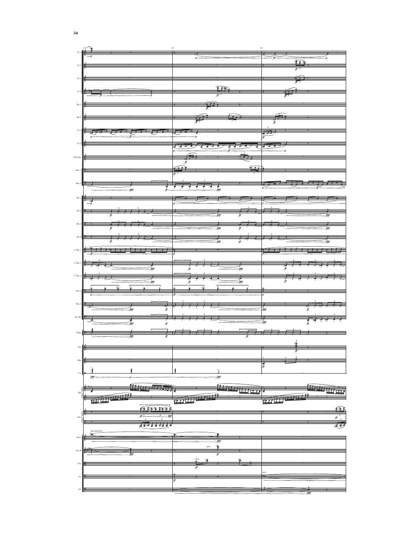| FL                                      |                                                                                                                            |                                                                                                                                                                                                                               |
|-----------------------------------------|----------------------------------------------------------------------------------------------------------------------------|-------------------------------------------------------------------------------------------------------------------------------------------------------------------------------------------------------------------------------|
|                                         |                                                                                                                            |                                                                                                                                                                                                                               |
|                                         |                                                                                                                            | $\mathbf{P}$                                                                                                                                                                                                                  |
|                                         |                                                                                                                            | $\pi$                                                                                                                                                                                                                         |
|                                         |                                                                                                                            |                                                                                                                                                                                                                               |
| FL                                      |                                                                                                                            |                                                                                                                                                                                                                               |
|                                         |                                                                                                                            |                                                                                                                                                                                                                               |
|                                         | ÍŦ                                                                                                                         |                                                                                                                                                                                                                               |
| FL <sub>4</sub>                         |                                                                                                                            |                                                                                                                                                                                                                               |
|                                         |                                                                                                                            |                                                                                                                                                                                                                               |
|                                         |                                                                                                                            |                                                                                                                                                                                                                               |
|                                         |                                                                                                                            |                                                                                                                                                                                                                               |
|                                         |                                                                                                                            |                                                                                                                                                                                                                               |
| Ob.                                     | Ŧ                                                                                                                          |                                                                                                                                                                                                                               |
|                                         |                                                                                                                            | $\frac{1}{\hat{y}}$                                                                                                                                                                                                           |
|                                         |                                                                                                                            |                                                                                                                                                                                                                               |
| CL <sub>1</sub>                         |                                                                                                                            | <u>मान</u> ्न                                                                                                                                                                                                                 |
|                                         |                                                                                                                            |                                                                                                                                                                                                                               |
|                                         |                                                                                                                            |                                                                                                                                                                                                                               |
| CL2                                     | <u>ਰਚ ਆਰਾ ਦਾ</u><br>₹<br>↴<br>₹                                                                                            | ब्रिके<br>∓                                                                                                                                                                                                                   |
|                                         |                                                                                                                            |                                                                                                                                                                                                                               |
|                                         | ŧ                                                                                                                          |                                                                                                                                                                                                                               |
|                                         |                                                                                                                            |                                                                                                                                                                                                                               |
|                                         |                                                                                                                            |                                                                                                                                                                                                                               |
|                                         |                                                                                                                            |                                                                                                                                                                                                                               |
|                                         |                                                                                                                            |                                                                                                                                                                                                                               |
|                                         | $\frac{1}{\sqrt{\frac{1}{n}}}\cdot\frac{1}{\sqrt{\frac{1}{n}}}}$                                                           |                                                                                                                                                                                                                               |
|                                         |                                                                                                                            |                                                                                                                                                                                                                               |
| tttf                                    |                                                                                                                            |                                                                                                                                                                                                                               |
|                                         |                                                                                                                            |                                                                                                                                                                                                                               |
| Hn. 1                                   |                                                                                                                            |                                                                                                                                                                                                                               |
| $\frac{1}{p}$                           |                                                                                                                            |                                                                                                                                                                                                                               |
|                                         |                                                                                                                            |                                                                                                                                                                                                                               |
| Hn.2                                    |                                                                                                                            |                                                                                                                                                                                                                               |
|                                         | $\equiv_{\hat{w}}$                                                                                                         | ím                                                                                                                                                                                                                            |
|                                         |                                                                                                                            |                                                                                                                                                                                                                               |
| Hn.                                     | 三方<br>$\frac{1}{100}$                                                                                                      |                                                                                                                                                                                                                               |
|                                         |                                                                                                                            | = <i>fttf</i>                                                                                                                                                                                                                 |
|                                         |                                                                                                                            |                                                                                                                                                                                                                               |
| Hn <sub>i</sub>                         | $\frac{1}{100}$                                                                                                            |                                                                                                                                                                                                                               |
|                                         |                                                                                                                            | ÍΨ                                                                                                                                                                                                                            |
| C Tpt. 1                                |                                                                                                                            |                                                                                                                                                                                                                               |
| $\frac{1}{\pi}$                         |                                                                                                                            |                                                                                                                                                                                                                               |
|                                         |                                                                                                                            |                                                                                                                                                                                                                               |
|                                         |                                                                                                                            |                                                                                                                                                                                                                               |
|                                         |                                                                                                                            |                                                                                                                                                                                                                               |
| $C$ Tpt. 2                              |                                                                                                                            |                                                                                                                                                                                                                               |
| ने<br>तारा                              | $\overrightarrow{f}$<br>$\frac{1}{\frac{2}{100}}$                                                                          | $\frac{1}{\hat{y}}$                                                                                                                                                                                                           |
| C Tpt. 3                                |                                                                                                                            |                                                                                                                                                                                                                               |
| ह                                       | ₹<br>₹                                                                                                                     | $\frac{1}{r}$                                                                                                                                                                                                                 |
| $\frac{1}{2}$                           | $\frac{1}{\hat{y}}$<br>$\frac{1}{2}$ and $\frac{1}{2}$                                                                     |                                                                                                                                                                                                                               |
| Σ<br>$\frac{1}{2}$                      |                                                                                                                            |                                                                                                                                                                                                                               |
|                                         |                                                                                                                            |                                                                                                                                                                                                                               |
|                                         |                                                                                                                            |                                                                                                                                                                                                                               |
|                                         |                                                                                                                            |                                                                                                                                                                                                                               |
| $\overline{y}$<br>$\frac{1}{2}$         |                                                                                                                            | $\frac{1}{\frac{1}{\hat{y}}}$                                                                                                                                                                                                 |
|                                         |                                                                                                                            | $\frac{1}{\frac{1}{2}}$                                                                                                                                                                                                       |
| B. Tbn                                  |                                                                                                                            |                                                                                                                                                                                                                               |
| $\frac{1}{\epsilon}$                    |                                                                                                                            | <del>ਰੂ ਹੋ ਹੋ</del> ਹ<br>$\equiv_{\tilde{w}}$                                                                                                                                                                                 |
|                                         |                                                                                                                            |                                                                                                                                                                                                                               |
| Timp.                                   |                                                                                                                            |                                                                                                                                                                                                                               |
| $\frac{1}{\tilde{E} \tilde{B}}$         | $\frac{1}{\hat{y}}$                                                                                                        |                                                                                                                                                                                                                               |
|                                         |                                                                                                                            |                                                                                                                                                                                                                               |
|                                         |                                                                                                                            |                                                                                                                                                                                                                               |
|                                         |                                                                                                                            |                                                                                                                                                                                                                               |
|                                         |                                                                                                                            |                                                                                                                                                                                                                               |
| $_{\rm Mar.}$<br>阹                      |                                                                                                                            |                                                                                                                                                                                                                               |
|                                         |                                                                                                                            | 淳                                                                                                                                                                                                                             |
| $T_{\rm c}\ll$                          | ŧ<br>ň                                                                                                                     |                                                                                                                                                                                                                               |
| ffff'                                   | ΠĦ                                                                                                                         |                                                                                                                                                                                                                               |
|                                         |                                                                                                                            |                                                                                                                                                                                                                               |
| ff                                      | عص                                                                                                                         |                                                                                                                                                                                                                               |
| -<br>1117 <sup>月11</sup> 月)<br>Hp       |                                                                                                                            |                                                                                                                                                                                                                               |
|                                         | التقنين بالمنافذة                                                                                                          | a provincia de la contrata del contrata del contrata del contrata del contrata del contrata del contrata del contrata del contrata del contrata del contrata del contrata del contrata del contrata del contrata del contrata |
|                                         |                                                                                                                            |                                                                                                                                                                                                                               |
| TIIT WILL<br>ు                          | an an an Taonacha an Dùbhad an Dùbhad an Dùbhad an Dùbhad an Dùbhad an Dùbhad an Dùbhad an Dùbhad an Dùbhad an<br>Tagairtí | 在山                                                                                                                                                                                                                            |
| 1144 114                                |                                                                                                                            |                                                                                                                                                                                                                               |
| .fff)<br>fl<br>Pag                      |                                                                                                                            | ఆ                                                                                                                                                                                                                             |
|                                         |                                                                                                                            | $\frac{f}{f}$                                                                                                                                                                                                                 |
|                                         |                                                                                                                            |                                                                                                                                                                                                                               |
| <u>तुल सम्बद्ध</u>                      |                                                                                                                            |                                                                                                                                                                                                                               |
| arco (non div.)                         |                                                                                                                            |                                                                                                                                                                                                                               |
| $\mathbf{V}\mathbf{ln}.$                |                                                                                                                            |                                                                                                                                                                                                                               |
|                                         | : ffff                                                                                                                     |                                                                                                                                                                                                                               |
|                                         | Ĭ<br>pizz.                                                                                                                 |                                                                                                                                                                                                                               |
| 6<br>$\mathbf{V}\mathbf{ln}.$ II<br>itt | $f\hspace{-0.8mm}f$                                                                                                        |                                                                                                                                                                                                                               |
|                                         |                                                                                                                            |                                                                                                                                                                                                                               |
| $_{\rm Vla}$                            | pizz.<br>Li<br>峯                                                                                                           |                                                                                                                                                                                                                               |
|                                         | ff                                                                                                                         |                                                                                                                                                                                                                               |
|                                         |                                                                                                                            |                                                                                                                                                                                                                               |
| $\mathbf{V}\mathbf{c}$                  |                                                                                                                            |                                                                                                                                                                                                                               |
|                                         | $f\ddot{f}$                                                                                                                |                                                                                                                                                                                                                               |
| Cb. 2                                   |                                                                                                                            | ð<br>₹                                                                                                                                                                                                                        |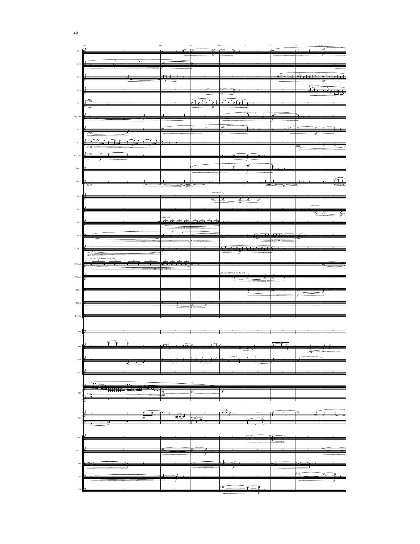| 四峰                        |   |                                                                                                                         | 148                      |                                              | ***           | 151                 | 152           |                               |                   |
|---------------------------|---|-------------------------------------------------------------------------------------------------------------------------|--------------------------|----------------------------------------------|---------------|---------------------|---------------|-------------------------------|-------------------|
|                           |   |                                                                                                                         |                          |                                              |               |                     |               |                               |                   |
|                           |   |                                                                                                                         |                          |                                              |               |                     |               |                               |                   |
| FL2                       |   |                                                                                                                         |                          |                                              |               |                     |               |                               |                   |
|                           |   |                                                                                                                         |                          |                                              |               |                     |               |                               |                   |
| FL3                       |   |                                                                                                                         | $\varpi$                 |                                              |               |                     | ப்பி          |                               |                   |
|                           |   |                                                                                                                         |                          |                                              |               |                     |               |                               |                   |
| FL4                       |   |                                                                                                                         |                          |                                              |               |                     |               |                               |                   |
|                           |   |                                                                                                                         |                          |                                              |               |                     |               |                               | fitet             |
|                           |   |                                                                                                                         |                          | ≖                                            |               |                     |               |                               |                   |
| Ob. 1                     |   |                                                                                                                         |                          | r i                                          |               |                     |               |                               |                   |
|                           |   |                                                                                                                         |                          |                                              |               |                     |               |                               |                   |
| Eng. Hn.                  |   |                                                                                                                         |                          |                                              |               |                     |               |                               |                   |
|                           |   |                                                                                                                         |                          |                                              |               |                     |               |                               |                   |
| CL1                       |   |                                                                                                                         |                          |                                              |               |                     |               |                               |                   |
|                           |   | G                                                                                                                       |                          |                                              |               |                     |               |                               |                   |
|                           |   |                                                                                                                         |                          |                                              |               |                     |               |                               |                   |
| $\rm{Cl}.$ 2              |   |                                                                                                                         |                          |                                              |               |                     |               |                               |                   |
|                           |   |                                                                                                                         |                          |                                              |               |                     |               |                               |                   |
| Alto Sax                  |   |                                                                                                                         |                          |                                              |               |                     |               |                               |                   |
|                           |   |                                                                                                                         |                          |                                              |               |                     |               |                               |                   |
|                           |   |                                                                                                                         |                          |                                              |               |                     |               |                               |                   |
|                           |   |                                                                                                                         |                          |                                              |               |                     |               |                               |                   |
|                           |   |                                                                                                                         |                          |                                              |               |                     |               |                               |                   |
|                           |   |                                                                                                                         |                          |                                              |               |                     |               |                               |                   |
|                           |   |                                                                                                                         |                          |                                              |               |                     |               |                               |                   |
|                           |   |                                                                                                                         |                          |                                              |               |                     |               |                               |                   |
| Hn.                       |   |                                                                                                                         |                          |                                              |               |                     |               |                               |                   |
|                           |   |                                                                                                                         |                          |                                              |               |                     |               |                               |                   |
| Hn.                       |   |                                                                                                                         |                          |                                              |               |                     |               |                               |                   |
|                           |   |                                                                                                                         |                          |                                              |               |                     |               |                               |                   |
|                           |   |                                                                                                                         |                          |                                              |               |                     |               |                               |                   |
| Hn.                       |   |                                                                                                                         |                          |                                              |               |                     |               |                               |                   |
|                           |   |                                                                                                                         |                          |                                              |               |                     |               |                               |                   |
| Hn.                       |   |                                                                                                                         |                          |                                              | $\rightarrow$ |                     | ्राम जामान जु |                               |                   |
|                           |   |                                                                                                                         |                          |                                              |               |                     |               |                               |                   |
|                           |   |                                                                                                                         |                          |                                              |               |                     |               |                               |                   |
| $\cal C$ Tpt. 1           |   |                                                                                                                         |                          |                                              |               | تنف نفاذ انفله نفلأ |               |                               |                   |
|                           |   |                                                                                                                         |                          |                                              |               |                     |               |                               |                   |
| $\rm C$ Tpt. 2            |   |                                                                                                                         |                          |                                              |               |                     |               |                               |                   |
|                           |   |                                                                                                                         |                          |                                              |               |                     |               |                               |                   |
|                           |   |                                                                                                                         |                          |                                              |               |                     |               |                               |                   |
| C Tpt. 3                  |   |                                                                                                                         |                          |                                              |               |                     | ≖             |                               |                   |
|                           |   |                                                                                                                         |                          |                                              |               |                     |               |                               |                   |
| Tbn.                      |   |                                                                                                                         |                          |                                              |               |                     |               |                               |                   |
|                           |   |                                                                                                                         |                          |                                              |               |                     |               |                               |                   |
|                           |   |                                                                                                                         |                          |                                              |               |                     |               |                               |                   |
| Tbn.                      |   |                                                                                                                         |                          |                                              |               |                     |               |                               |                   |
|                           |   |                                                                                                                         |                          |                                              |               |                     |               |                               |                   |
| B. Th                     |   |                                                                                                                         |                          |                                              |               |                     |               |                               |                   |
|                           |   |                                                                                                                         |                          |                                              |               |                     |               |                               |                   |
|                           |   |                                                                                                                         |                          |                                              |               |                     |               |                               |                   |
|                           |   |                                                                                                                         |                          |                                              |               |                     |               |                               |                   |
| Timp                      |   |                                                                                                                         |                          |                                              |               |                     |               |                               |                   |
|                           |   |                                                                                                                         |                          |                                              |               |                     |               |                               |                   |
|                           |   |                                                                                                                         |                          |                                              |               |                     |               |                               |                   |
| Vib.                      |   |                                                                                                                         |                          |                                              |               |                     |               |                               |                   |
|                           |   |                                                                                                                         |                          |                                              |               |                     |               | PPP                           |                   |
| $_{\rm{Mat}}$             | 珻 |                                                                                                                         | $\overline{\phantom{a}}$ |                                              | ار :          |                     |               |                               |                   |
|                           |   | $\overline{a}$ $\overline{a}$ $\overline{b}$ $\overline{c}$ $\overline{d}$ $\overline{d}$ $\overline{d}$ $\overline{d}$ | <u> मुर</u>              | ंग्रुगि                                      |               | ارچ اپ              |               |                               |                   |
|                           |   |                                                                                                                         |                          |                                              |               |                     |               |                               |                   |
|                           |   |                                                                                                                         |                          |                                              |               |                     |               |                               |                   |
| ${\rm Glock}$             |   |                                                                                                                         |                          |                                              |               |                     |               |                               |                   |
|                           |   |                                                                                                                         |                          |                                              |               |                     |               |                               |                   |
|                           |   | <u>ונות היה ממוחמים ומוח</u>                                                                                            |                          | 夏                                            | Ţ"            |                     |               |                               |                   |
| $_{\rm Hp.}$              |   |                                                                                                                         | $\frac{1}{\pi}$          |                                              |               |                     |               |                               |                   |
|                           |   |                                                                                                                         |                          |                                              |               |                     |               |                               |                   |
|                           |   |                                                                                                                         |                          |                                              |               |                     |               |                               |                   |
|                           |   | Ŧ<br>≤                                                                                                                  |                          |                                              |               |                     | $\rightarrow$ | $\mathbb{R}$ and $\mathbb{R}$ | gga k             |
| Pao                       |   | $\cal PP$                                                                                                               |                          |                                              | f.            |                     |               |                               |                   |
|                           |   | ┓═┙                                                                                                                     |                          |                                              |               |                     |               |                               |                   |
|                           |   |                                                                                                                         |                          |                                              |               |                     |               |                               |                   |
|                           |   |                                                                                                                         |                          |                                              |               |                     |               |                               |                   |
| $_{\rm Vln.}$             |   |                                                                                                                         |                          |                                              |               |                     |               |                               |                   |
|                           |   |                                                                                                                         |                          |                                              |               |                     |               |                               |                   |
| $\mathbf{V}\text{ln}.$ II |   |                                                                                                                         |                          | ▕ऻॱ━━ऻ॑ॱॱ                                    |               |                     |               |                               | ΈĖ,               |
|                           |   |                                                                                                                         |                          |                                              |               |                     |               |                               |                   |
|                           |   |                                                                                                                         |                          |                                              |               |                     |               |                               |                   |
| Vla                       |   | <b>KEE</b>                                                                                                              |                          | the control of the control of the control of | ا تار         |                     | Ŧ.            |                               |                   |
|                           |   | $\rightarrow$                                                                                                           |                          |                                              |               |                     |               | $\exists^{\mu}$               |                   |
| $_{\rm Vc}$               |   |                                                                                                                         | ≢<br>$\rightarrow$       |                                              |               |                     |               |                               | $\longrightarrow$ |
|                           |   |                                                                                                                         | $\implies$               |                                              |               |                     |               |                               |                   |
| 여度                        |   |                                                                                                                         |                          |                                              | $\approx$     | $\Rightarrow$       |               |                               |                   |

**40**